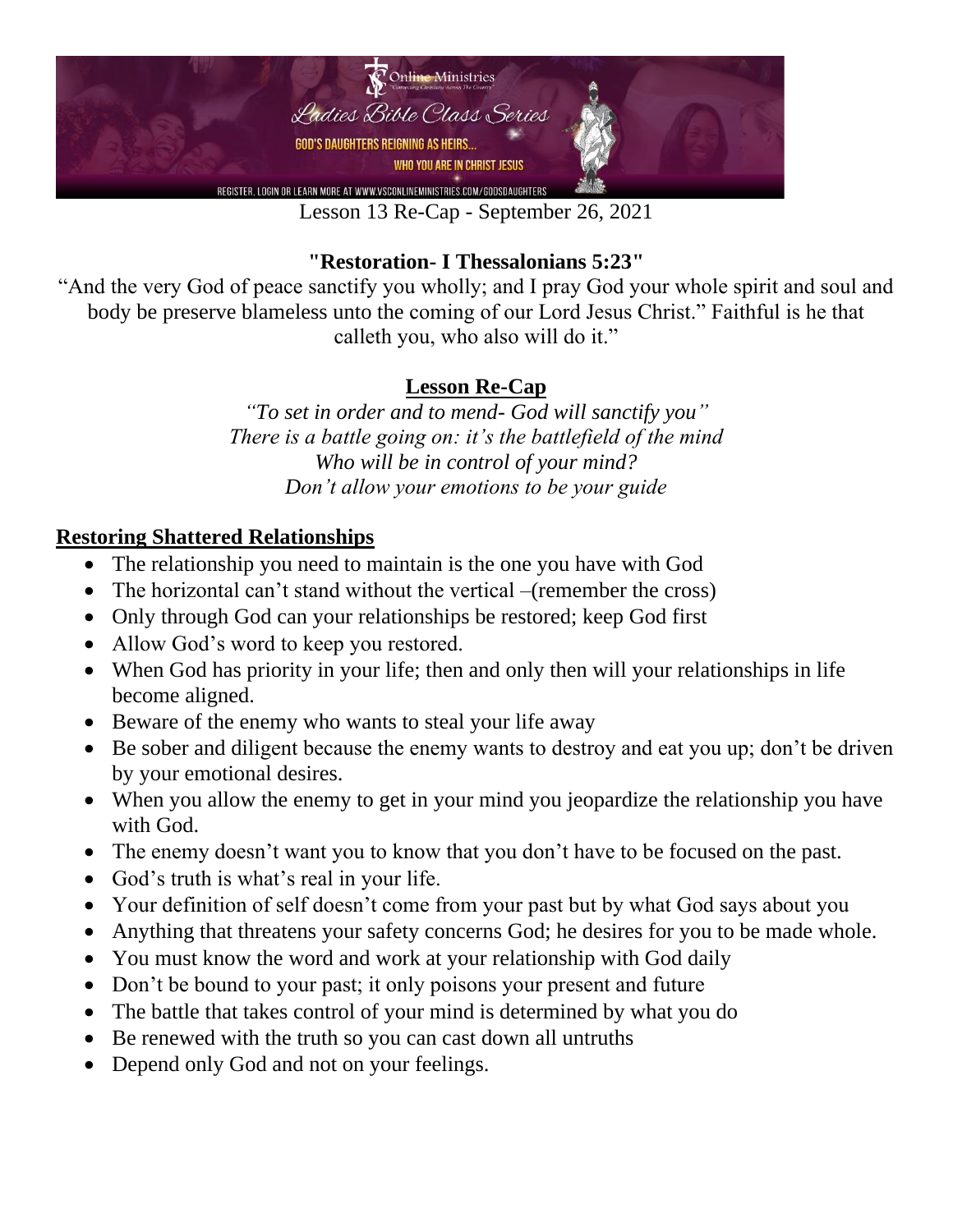

Lesson 13 Re-Cap - September 26, 2021

### **"Restoration- I Thessalonians 5:23"**

"And the very God of peace sanctify you wholly; and I pray God your whole spirit and soul and body be preserve blameless unto the coming of our Lord Jesus Christ." Faithful is he that calleth you, who also will do it."

### **Lesson Re-Cap**

*"To set in order and to mend- God will sanctify you" There is a battle going on: it's the battlefield of the mind Who will be in control of your mind? Don't allow your emotions to be your guide*

#### **Restoring Shattered Relationships**

- The relationship you need to maintain is the one you have with God
- The horizontal can't stand without the vertical –(remember the cross)
- Only through God can your relationships be restored; keep God first
- Allow God's word to keep you restored.
- When God has priority in your life; then and only then will your relationships in life become aligned.
- Beware of the enemy who wants to steal your life away
- Be sober and diligent because the enemy wants to destroy and eat you up; don't be driven by your emotional desires.
- When you allow the enemy to get in your mind you jeopardize the relationship you have with God.
- The enemy doesn't want you to know that you don't have to be focused on the past.
- God's truth is what's real in your life.
- Your definition of self doesn't come from your past but by what God says about you
- Anything that threatens your safety concerns God; he desires for you to be made whole.
- You must know the word and work at your relationship with God daily
- Don't be bound to your past; it only poisons your present and future
- The battle that takes control of your mind is determined by what you do
- Be renewed with the truth so you can cast down all untruths
- Depend only God and not on your feelings.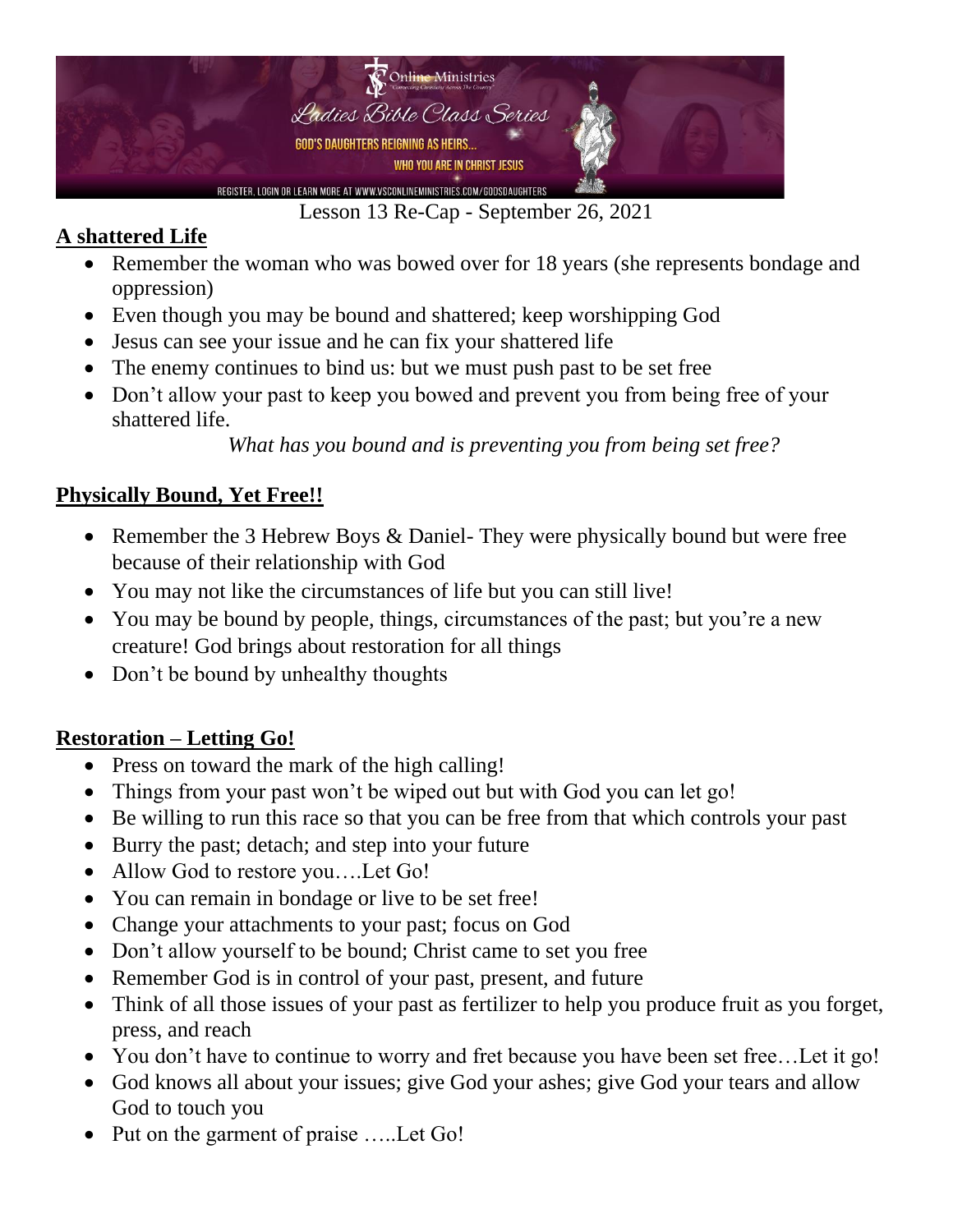

Lesson 13 Re-Cap - September 26, 2021

## **A shattered Life**

- Remember the woman who was bowed over for 18 years (she represents bondage and oppression)
- Even though you may be bound and shattered; keep worshipping God
- Jesus can see your issue and he can fix your shattered life
- The enemy continues to bind us: but we must push past to be set free
- Don't allow your past to keep you bowed and prevent you from being free of your shattered life.

*What has you bound and is preventing you from being set free?*

# **Physically Bound, Yet Free!!**

- Remember the 3 Hebrew Boys & Daniel- They were physically bound but were free because of their relationship with God
- You may not like the circumstances of life but you can still live!
- You may be bound by people, things, circumstances of the past; but you're a new creature! God brings about restoration for all things
- Don't be bound by unhealthy thoughts

## **Restoration – Letting Go!**

- Press on toward the mark of the high calling!
- Things from your past won't be wiped out but with God you can let go!
- Be willing to run this race so that you can be free from that which controls your past
- Burry the past; detach; and step into your future
- Allow God to restore you....Let Go!
- You can remain in bondage or live to be set free!
- Change your attachments to your past; focus on God
- Don't allow yourself to be bound; Christ came to set you free
- Remember God is in control of your past, present, and future
- Think of all those issues of your past as fertilizer to help you produce fruit as you forget, press, and reach
- You don't have to continue to worry and fret because you have been set free...Let it go!
- God knows all about your issues; give God your ashes; give God your tears and allow God to touch you
- Put on the garment of praise .....Let Go!